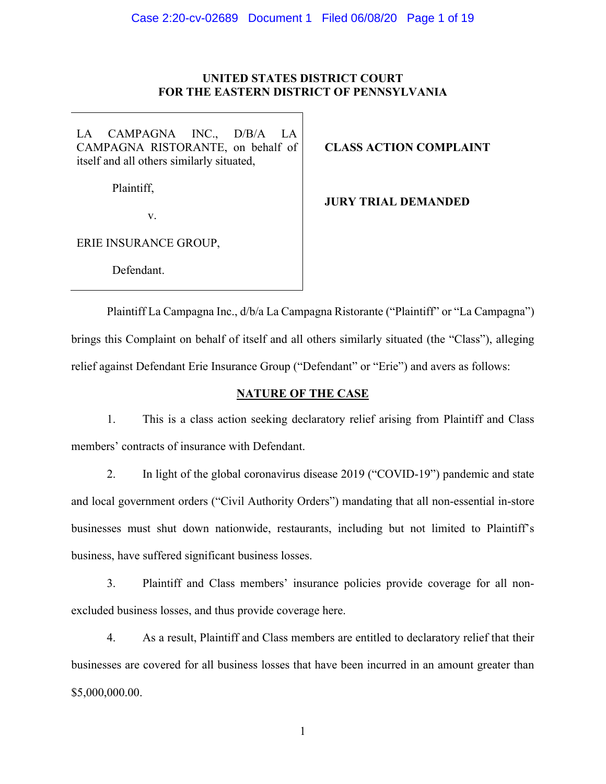# **UNITED STATES DISTRICT COURT FOR THE EASTERN DISTRICT OF PENNSYLVANIA**

LA CAMPAGNA INC., D/B/A LA CAMPAGNA RISTORANTE, on behalf of itself and all others similarly situated,

**CLASS ACTION COMPLAINT**

Plaintiff,

**JURY TRIAL DEMANDED**

v.

ERIE INSURANCE GROUP,

Defendant.

Plaintiff La Campagna Inc., d/b/a La Campagna Ristorante ("Plaintiff" or "La Campagna") brings this Complaint on behalf of itself and all others similarly situated (the "Class"), alleging relief against Defendant Erie Insurance Group ("Defendant" or "Erie") and avers as follows:

# **NATURE OF THE CASE**

1. This is a class action seeking declaratory relief arising from Plaintiff and Class members' contracts of insurance with Defendant.

2. In light of the global coronavirus disease 2019 ("COVID-19") pandemic and state and local government orders ("Civil Authority Orders") mandating that all non-essential in-store businesses must shut down nationwide, restaurants, including but not limited to Plaintiff's business, have suffered significant business losses.

3. Plaintiff and Class members' insurance policies provide coverage for all nonexcluded business losses, and thus provide coverage here.

4. As a result, Plaintiff and Class members are entitled to declaratory relief that their businesses are covered for all business losses that have been incurred in an amount greater than \$5,000,000.00.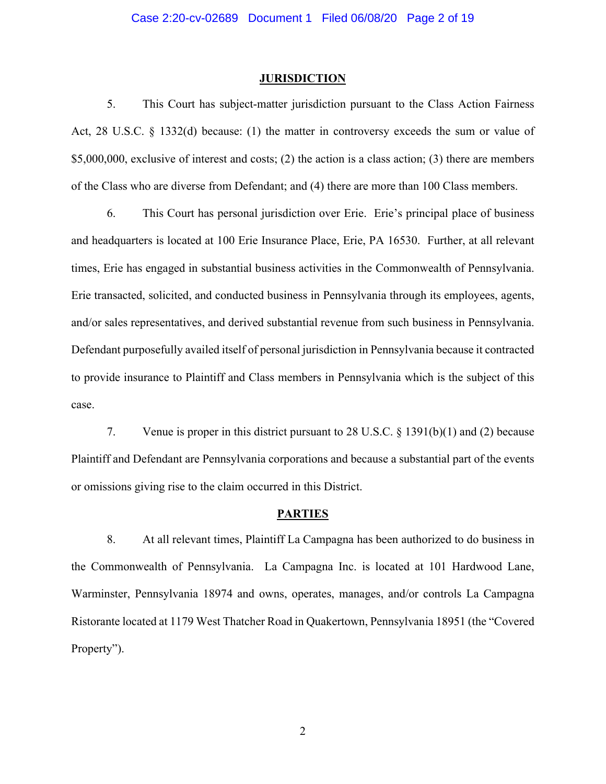#### **JURISDICTION**

5. This Court has subject-matter jurisdiction pursuant to the Class Action Fairness Act, 28 U.S.C. § 1332(d) because: (1) the matter in controversy exceeds the sum or value of \$5,000,000, exclusive of interest and costs; (2) the action is a class action; (3) there are members of the Class who are diverse from Defendant; and (4) there are more than 100 Class members.

6. This Court has personal jurisdiction over Erie. Erie's principal place of business and headquarters is located at 100 Erie Insurance Place, Erie, PA 16530. Further, at all relevant times, Erie has engaged in substantial business activities in the Commonwealth of Pennsylvania. Erie transacted, solicited, and conducted business in Pennsylvania through its employees, agents, and/or sales representatives, and derived substantial revenue from such business in Pennsylvania. Defendant purposefully availed itself of personal jurisdiction in Pennsylvania because it contracted to provide insurance to Plaintiff and Class members in Pennsylvania which is the subject of this case.

7. Venue is proper in this district pursuant to 28 U.S.C. § 1391(b)(1) and (2) because Plaintiff and Defendant are Pennsylvania corporations and because a substantial part of the events or omissions giving rise to the claim occurred in this District.

#### **PARTIES**

8. At all relevant times, Plaintiff La Campagna has been authorized to do business in the Commonwealth of Pennsylvania. La Campagna Inc. is located at 101 Hardwood Lane, Warminster, Pennsylvania 18974 and owns, operates, manages, and/or controls La Campagna Ristorante located at 1179 West Thatcher Road in Quakertown, Pennsylvania 18951 (the "Covered Property").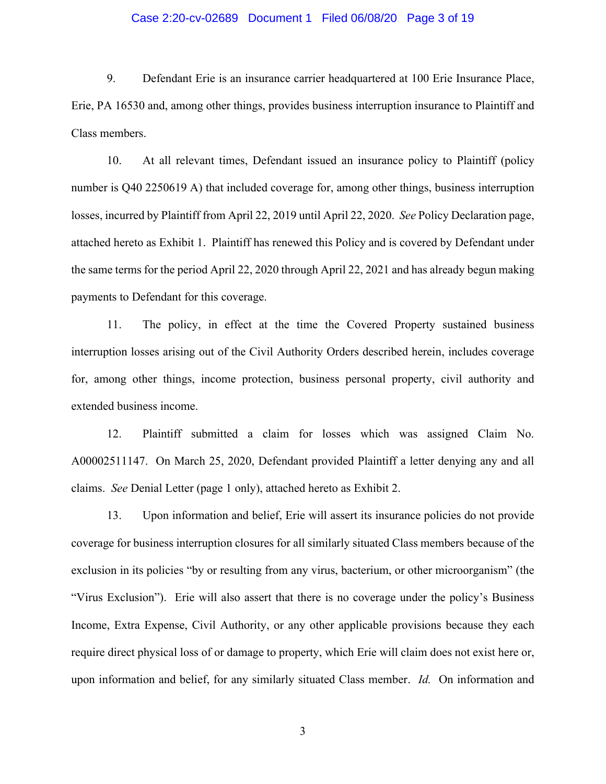#### Case 2:20-cv-02689 Document 1 Filed 06/08/20 Page 3 of 19

9. Defendant Erie is an insurance carrier headquartered at 100 Erie Insurance Place, Erie, PA 16530 and, among other things, provides business interruption insurance to Plaintiff and Class members.

10. At all relevant times, Defendant issued an insurance policy to Plaintiff (policy number is Q40 2250619 A) that included coverage for, among other things, business interruption losses, incurred by Plaintiff from April 22, 2019 until April 22, 2020. *See* Policy Declaration page, attached hereto as Exhibit 1. Plaintiff has renewed this Policy and is covered by Defendant under the same terms for the period April 22, 2020 through April 22, 2021 and has already begun making payments to Defendant for this coverage.

11. The policy, in effect at the time the Covered Property sustained business interruption losses arising out of the Civil Authority Orders described herein, includes coverage for, among other things, income protection, business personal property, civil authority and extended business income.

12. Plaintiff submitted a claim for losses which was assigned Claim No. A00002511147. On March 25, 2020, Defendant provided Plaintiff a letter denying any and all claims. *See* Denial Letter (page 1 only), attached hereto as Exhibit 2.

13. Upon information and belief, Erie will assert its insurance policies do not provide coverage for business interruption closures for all similarly situated Class members because of the exclusion in its policies "by or resulting from any virus, bacterium, or other microorganism" (the "Virus Exclusion"). Erie will also assert that there is no coverage under the policy's Business Income, Extra Expense, Civil Authority, or any other applicable provisions because they each require direct physical loss of or damage to property, which Erie will claim does not exist here or, upon information and belief, for any similarly situated Class member. *Id.* On information and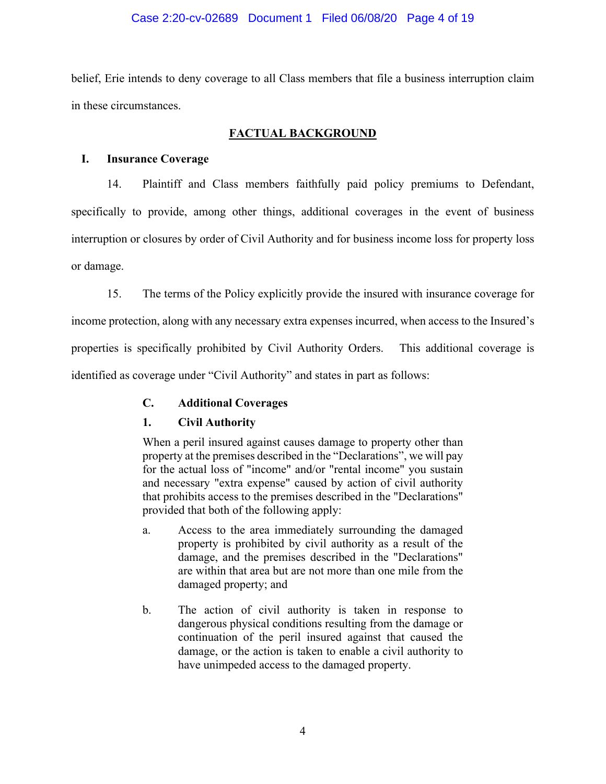belief, Erie intends to deny coverage to all Class members that file a business interruption claim in these circumstances.

# **FACTUAL BACKGROUND**

# **I. Insurance Coverage**

14. Plaintiff and Class members faithfully paid policy premiums to Defendant, specifically to provide, among other things, additional coverages in the event of business interruption or closures by order of Civil Authority and for business income loss for property loss or damage.

15. The terms of the Policy explicitly provide the insured with insurance coverage for income protection, along with any necessary extra expenses incurred, when access to the Insured's properties is specifically prohibited by Civil Authority Orders. This additional coverage is identified as coverage under "Civil Authority" and states in part as follows:

# **C. Additional Coverages**

# **1. Civil Authority**

When a peril insured against causes damage to property other than property at the premises described in the "Declarations", we will pay for the actual loss of "income" and/or "rental income" you sustain and necessary "extra expense" caused by action of civil authority that prohibits access to the premises described in the "Declarations" provided that both of the following apply:

- a. Access to the area immediately surrounding the damaged property is prohibited by civil authority as a result of the damage, and the premises described in the "Declarations" are within that area but are not more than one mile from the damaged property; and
- b. The action of civil authority is taken in response to dangerous physical conditions resulting from the damage or continuation of the peril insured against that caused the damage, or the action is taken to enable a civil authority to have unimpeded access to the damaged property.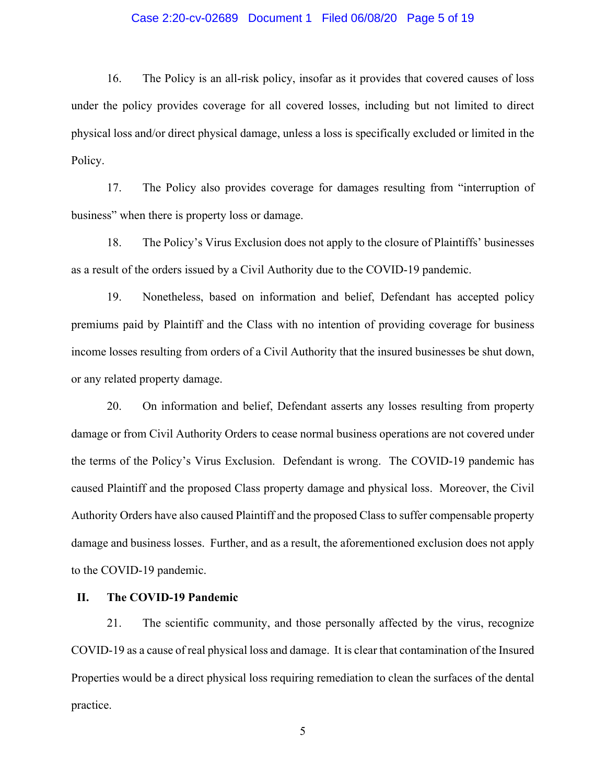#### Case 2:20-cv-02689 Document 1 Filed 06/08/20 Page 5 of 19

16. The Policy is an all-risk policy, insofar as it provides that covered causes of loss under the policy provides coverage for all covered losses, including but not limited to direct physical loss and/or direct physical damage, unless a loss is specifically excluded or limited in the Policy.

17. The Policy also provides coverage for damages resulting from "interruption of business" when there is property loss or damage.

18. The Policy's Virus Exclusion does not apply to the closure of Plaintiffs' businesses as a result of the orders issued by a Civil Authority due to the COVID-19 pandemic.

19. Nonetheless, based on information and belief, Defendant has accepted policy premiums paid by Plaintiff and the Class with no intention of providing coverage for business income losses resulting from orders of a Civil Authority that the insured businesses be shut down, or any related property damage.

20. On information and belief, Defendant asserts any losses resulting from property damage or from Civil Authority Orders to cease normal business operations are not covered under the terms of the Policy's Virus Exclusion. Defendant is wrong. The COVID-19 pandemic has caused Plaintiff and the proposed Class property damage and physical loss. Moreover, the Civil Authority Orders have also caused Plaintiff and the proposed Class to suffer compensable property damage and business losses. Further, and as a result, the aforementioned exclusion does not apply to the COVID-19 pandemic.

#### **II. The COVID-19 Pandemic**

21. The scientific community, and those personally affected by the virus, recognize COVID-19 as a cause of real physical loss and damage. It is clear that contamination of the Insured Properties would be a direct physical loss requiring remediation to clean the surfaces of the dental practice.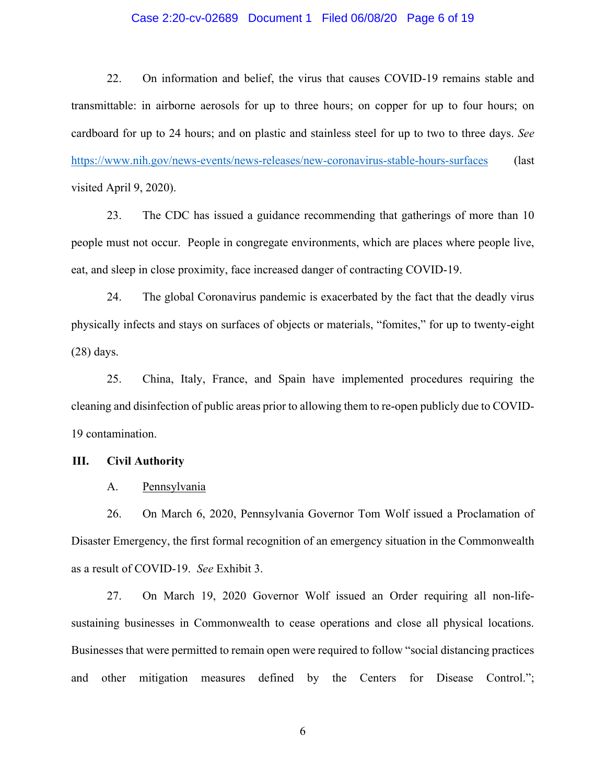#### Case 2:20-cv-02689 Document 1 Filed 06/08/20 Page 6 of 19

22. On information and belief, the virus that causes COVID-19 remains stable and transmittable: in airborne aerosols for up to three hours; on copper for up to four hours; on cardboard for up to 24 hours; and on plastic and stainless steel for up to two to three days. *See* <https://www.nih.gov/news-events/news-releases/new-coronavirus-stable-hours-surfaces> (last visited April 9, 2020).

23. The CDC has issued a guidance recommending that gatherings of more than 10 people must not occur. People in congregate environments, which are places where people live, eat, and sleep in close proximity, face increased danger of contracting COVID-19.

24. The global Coronavirus pandemic is exacerbated by the fact that the deadly virus physically infects and stays on surfaces of objects or materials, "fomites," for up to twenty-eight (28) days.

25. China, Italy, France, and Spain have implemented procedures requiring the cleaning and disinfection of public areas prior to allowing them to re-open publicly due to COVID-19 contamination.

#### **III. Civil Authority**

A. Pennsylvania

26. On March 6, 2020, Pennsylvania Governor Tom Wolf issued a Proclamation of Disaster Emergency, the first formal recognition of an emergency situation in the Commonwealth as a result of COVID-19. *See* Exhibit 3.

27. On March 19, 2020 Governor Wolf issued an Order requiring all non-lifesustaining businesses in Commonwealth to cease operations and close all physical locations. Businesses that were permitted to remain open were required to follow "social distancing practices and other mitigation measures defined by the Centers for Disease Control.";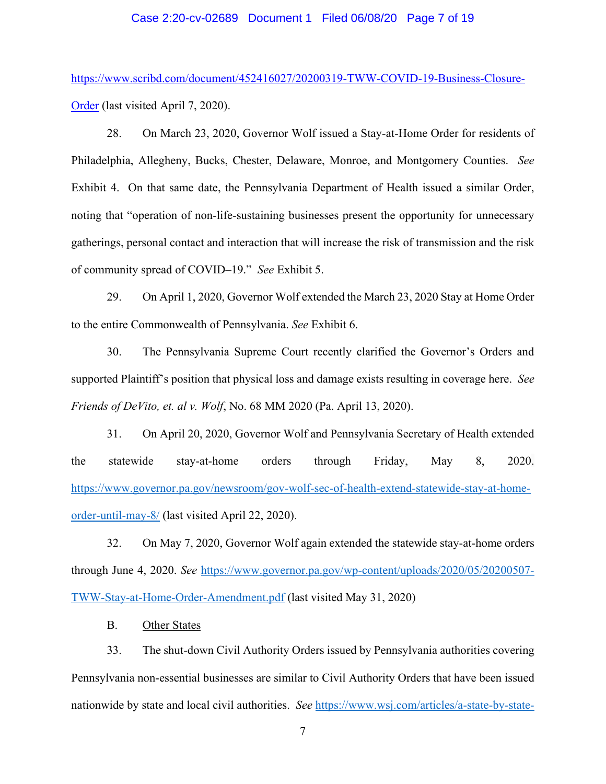#### Case 2:20-cv-02689 Document 1 Filed 06/08/20 Page 7 of 19

[https://www.scribd.com/document/452416027/20200319-TWW-COVID-19-Business-Closure-](https://www.scribd.com/document/452416027/20200319-TWW-COVID-19-Business-Closure-Order)[Order](https://www.scribd.com/document/452416027/20200319-TWW-COVID-19-Business-Closure-Order) (last visited April 7, 2020).

28. On March 23, 2020, Governor Wolf issued a Stay-at-Home Order for residents of Philadelphia, Allegheny, Bucks, Chester, Delaware, Monroe, and Montgomery Counties. *See*  Exhibit 4. On that same date, the Pennsylvania Department of Health issued a similar Order, noting that "operation of non-life-sustaining businesses present the opportunity for unnecessary gatherings, personal contact and interaction that will increase the risk of transmission and the risk of community spread of COVID–19." *See* Exhibit 5.

29. On April 1, 2020, Governor Wolf extended the March 23, 2020 Stay at Home Order to the entire Commonwealth of Pennsylvania. *See* Exhibit 6.

30. The Pennsylvania Supreme Court recently clarified the Governor's Orders and supported Plaintiff's position that physical loss and damage exists resulting in coverage here. *See Friends of DeVito, et. al v. Wolf*, No. 68 MM 2020 (Pa. April 13, 2020).

31. On April 20, 2020, Governor Wolf and Pennsylvania Secretary of Health extended the statewide stay-at-home orders through Friday, May 8, 2020. [https://www.governor.pa.gov/newsroom/gov-wolf-sec-of-health-extend-statewide-stay-at-home](https://www.governor.pa.gov/newsroom/gov-wolf-sec-of-health-extend-statewide-stay-at-home-order-until-may-8/)[order-until-may-8/](https://www.governor.pa.gov/newsroom/gov-wolf-sec-of-health-extend-statewide-stay-at-home-order-until-may-8/) (last visited April 22, 2020).

32. On May 7, 2020, Governor Wolf again extended the statewide stay-at-home orders through June 4, 2020. *See* [https://www.governor.pa.gov/wp-content/uploads/2020/05/20200507-](https://www.governor.pa.gov/wp-content/uploads/2020/05/20200507-TWW-Stay-at-Home-Order-Amendment.pdf) [TWW-Stay-at-Home-Order-Amendment.pdf](https://www.governor.pa.gov/wp-content/uploads/2020/05/20200507-TWW-Stay-at-Home-Order-Amendment.pdf) (last visited May 31, 2020)

B. Other States

33. The shut-down Civil Authority Orders issued by Pennsylvania authorities covering Pennsylvania non-essential businesses are similar to Civil Authority Orders that have been issued nationwide by state and local civil authorities. *See* [https://www.wsj.com/articles/a-state-by-state-](https://www.wsj.com/articles/a-state-by-state-guide-to-coronavirus-lockdowns-11584749351)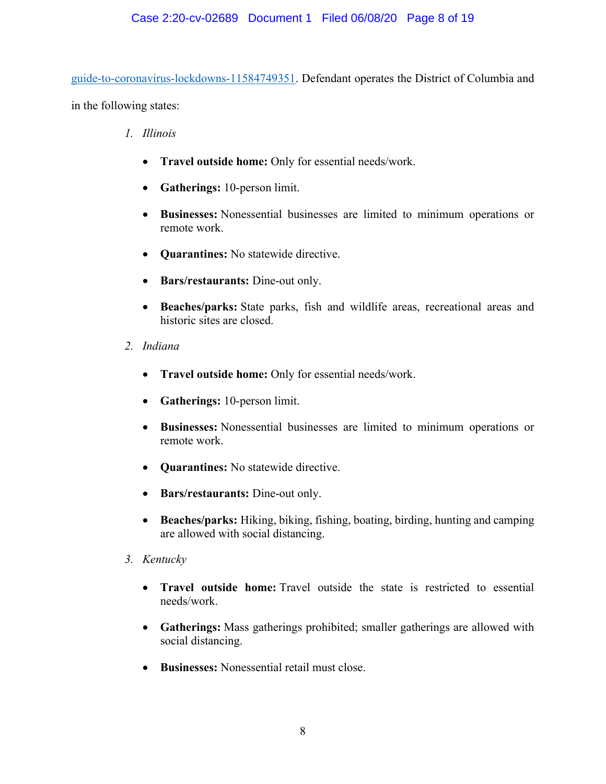[guide-to-coronavirus-lockdowns-11584749351.](https://www.wsj.com/articles/a-state-by-state-guide-to-coronavirus-lockdowns-11584749351) Defendant operates the District of Columbia and in the following states:

- *1. Illinois*
	- **Travel outside home:** Only for essential needs/work.
	- **Gatherings:** 10-person limit.
	- **Businesses:** Nonessential businesses are limited to minimum operations or remote work.
	- **Quarantines:** No statewide directive.
	- **Bars/restaurants:** Dine-out only.
	- **Beaches/parks:** State parks, fish and wildlife areas, recreational areas and historic sites are closed.
- *2. Indiana*
	- **Travel outside home:** Only for essential needs/work.
	- **Gatherings:** 10-person limit.
	- **Businesses:** Nonessential businesses are limited to minimum operations or remote work.
	- **Quarantines:** No statewide directive.
	- **Bars/restaurants:** Dine-out only.
	- **Beaches/parks:** Hiking, biking, fishing, boating, birding, hunting and camping are allowed with social distancing.
- *3. Kentucky*
	- **Travel outside home:** Travel outside the state is restricted to essential needs/work.
	- **Gatherings:** Mass gatherings prohibited; smaller gatherings are allowed with social distancing.
	- **Businesses:** Nonessential retail must close.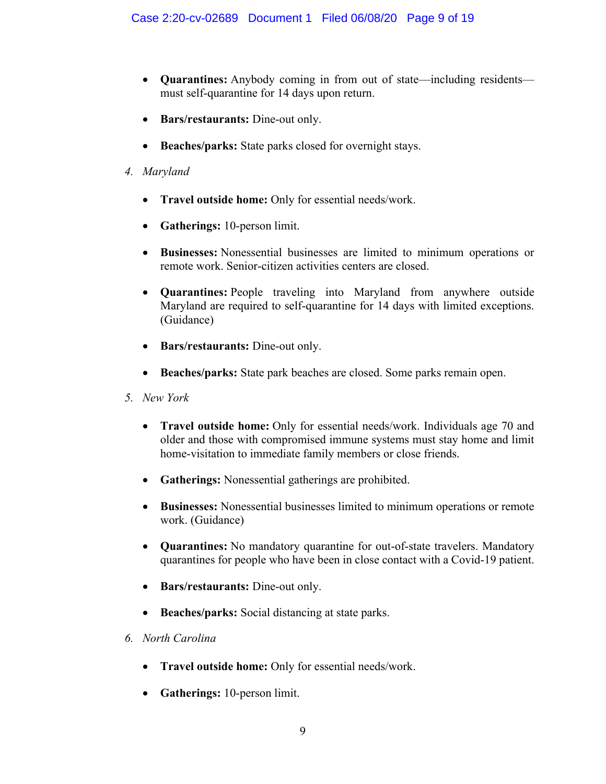- **Quarantines:** Anybody coming in from out of state—including residents must self-quarantine for 14 days upon return.
- **Bars/restaurants:** Dine-out only.
- **Beaches/parks:** State parks closed for overnight stays.
- *4. Maryland*
	- **Travel outside home:** Only for essential needs/work.
	- **Gatherings:** 10-person limit.
	- **Businesses:** Nonessential businesses are limited to minimum operations or remote work. Senior-citizen activities centers are closed.
	- **Quarantines:** People traveling into Maryland from anywhere outside Maryland are required to self-quarantine for 14 days with limited exceptions. (Guidance)
	- **Bars/restaurants:** Dine-out only.
	- **Beaches/parks:** State park beaches are closed. Some parks remain open.
- *5. New York*
	- **Travel outside home:** Only for essential needs/work. Individuals age 70 and older and those with compromised immune systems must stay home and limit home-visitation to immediate family members or close friends.
	- **Gatherings:** Nonessential gatherings are prohibited.
	- **Businesses:** Nonessential businesses limited to minimum operations or remote work. (Guidance)
	- **Quarantines:** No mandatory quarantine for out-of-state travelers. Mandatory quarantines for people who have been in close contact with a Covid-19 patient.
	- **Bars/restaurants:** Dine-out only.
	- **Beaches/parks:** Social distancing at state parks.
- *6. North Carolina*
	- **Travel outside home:** Only for essential needs/work.
	- **Gatherings:** 10-person limit.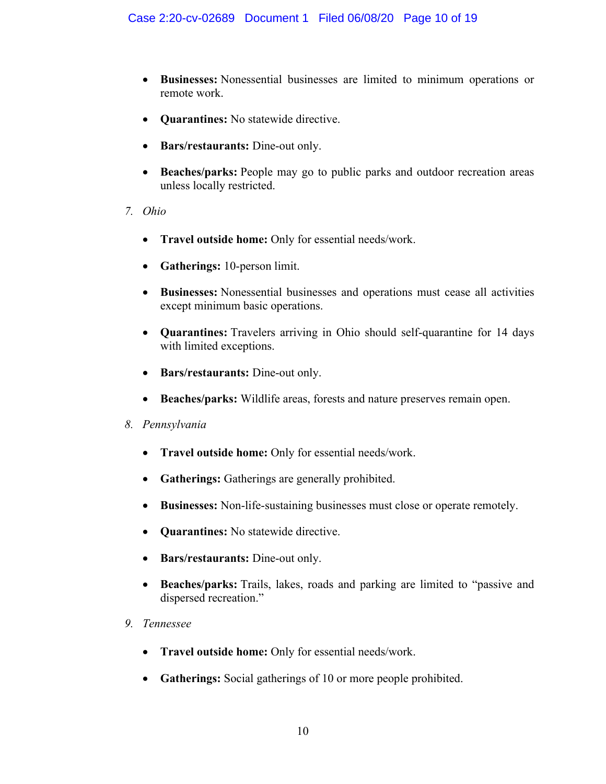- **Businesses:** Nonessential businesses are limited to minimum operations or remote work.
- **Quarantines:** No statewide directive.
- **Bars/restaurants:** Dine-out only.
- **Beaches/parks:** People may go to public parks and outdoor recreation areas unless locally restricted.
- *7. Ohio*
	- **Travel outside home:** Only for essential needs/work.
	- **Gatherings:** 10-person limit.
	- **Businesses:** Nonessential businesses and operations must cease all activities except minimum basic operations.
	- **Quarantines:** Travelers arriving in Ohio should self-quarantine for 14 days with limited exceptions.
	- **Bars/restaurants:** Dine-out only.
	- **Beaches/parks:** Wildlife areas, forests and nature preserves remain open.
- *8. Pennsylvania*
	- **Travel outside home:** Only for essential needs/work.
	- **Gatherings:** Gatherings are generally prohibited.
	- **Businesses:** Non-life-sustaining businesses must close or operate remotely.
	- **Quarantines:** No statewide directive.
	- **Bars/restaurants:** Dine-out only.
	- **Beaches/parks:** Trails, lakes, roads and parking are limited to "passive and dispersed recreation."
- *9. Tennessee*
	- **Travel outside home:** Only for essential needs/work.
	- **Gatherings:** Social gatherings of 10 or more people prohibited.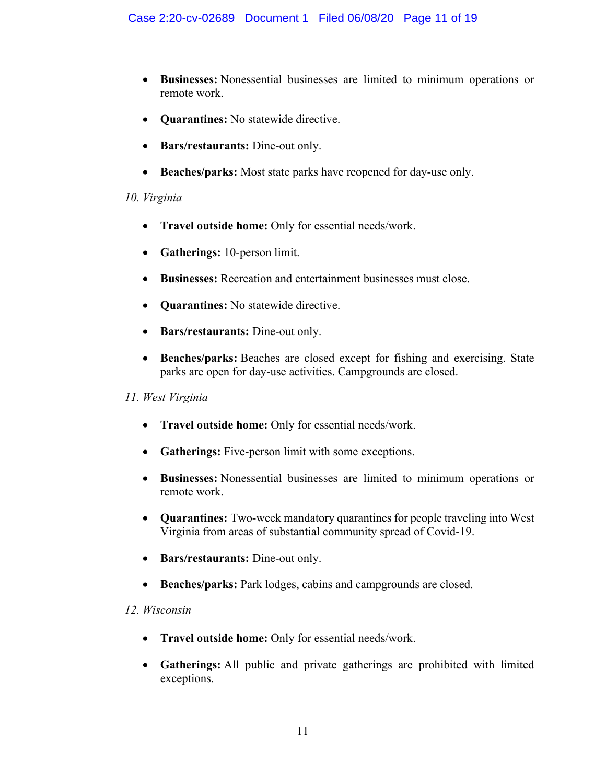- **Businesses:** Nonessential businesses are limited to minimum operations or remote work.
- **Quarantines:** No statewide directive.
- **Bars/restaurants:** Dine-out only.
- **Beaches/parks:** Most state parks have reopened for day-use only.

# *10. Virginia*

- **Travel outside home:** Only for essential needs/work.
- **Gatherings:** 10-person limit.
- **Businesses:** Recreation and entertainment businesses must close.
- **Quarantines:** No statewide directive.
- **Bars/restaurants:** Dine-out only.
- **Beaches/parks:** Beaches are closed except for fishing and exercising. State parks are open for day-use activities. Campgrounds are closed.

# *11. West Virginia*

- **Travel outside home:** Only for essential needs/work.
- **Gatherings:** Five-person limit with some exceptions.
- **Businesses:** Nonessential businesses are limited to minimum operations or remote work.
- **Quarantines:** Two-week mandatory quarantines for people traveling into West Virginia from areas of substantial community spread of Covid-19.
- **Bars/restaurants:** Dine-out only.
- **Beaches/parks:** Park lodges, cabins and campgrounds are closed.

# *12. Wisconsin*

- **Travel outside home:** Only for essential needs/work.
- **Gatherings:** All public and private gatherings are prohibited with limited exceptions.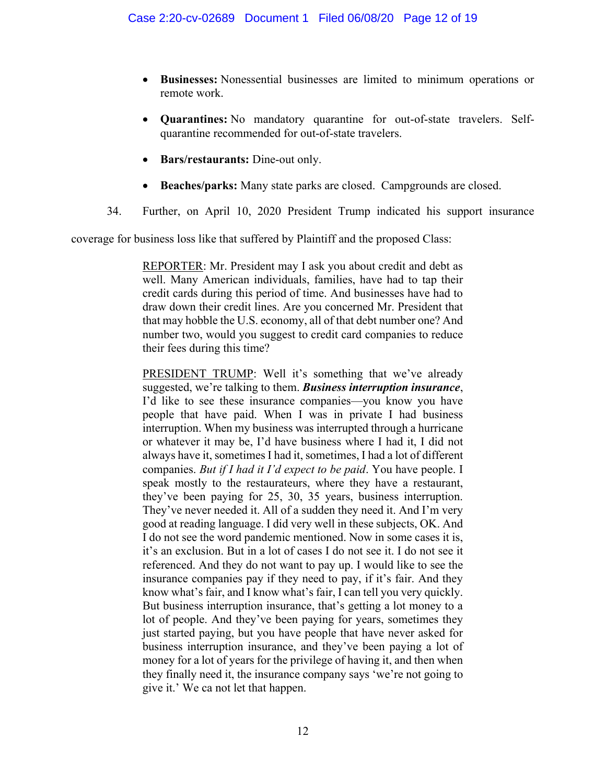- **Businesses:** Nonessential businesses are limited to minimum operations or remote work.
- **Quarantines:** No mandatory quarantine for out-of-state travelers. Selfquarantine recommended for out-of-state travelers.
- **Bars/restaurants:** Dine-out only.
- **Beaches/parks:** Many state parks are closed. Campgrounds are closed.
- 34. Further, on April 10, 2020 President Trump indicated his support insurance

coverage for business loss like that suffered by Plaintiff and the proposed Class:

REPORTER: Mr. President may I ask you about credit and debt as well. Many American individuals, families, have had to tap their credit cards during this period of time. And businesses have had to draw down their credit lines. Are you concerned Mr. President that that may hobble the U.S. economy, all of that debt number one? And number two, would you suggest to credit card companies to reduce their fees during this time?

PRESIDENT TRUMP: Well it's something that we've already suggested, we're talking to them. *Business interruption insurance*, I'd like to see these insurance companies—you know you have people that have paid. When I was in private I had business interruption. When my business was interrupted through a hurricane or whatever it may be, I'd have business where I had it, I did not always have it, sometimes I had it, sometimes, I had a lot of different companies. *But if I had it I'd expect to be paid*. You have people. I speak mostly to the restaurateurs, where they have a restaurant, they've been paying for 25, 30, 35 years, business interruption. They've never needed it. All of a sudden they need it. And I'm very good at reading language. I did very well in these subjects, OK. And I do not see the word pandemic mentioned. Now in some cases it is, it's an exclusion. But in a lot of cases I do not see it. I do not see it referenced. And they do not want to pay up. I would like to see the insurance companies pay if they need to pay, if it's fair. And they know what's fair, and I know what's fair, I can tell you very quickly. But business interruption insurance, that's getting a lot money to a lot of people. And they've been paying for years, sometimes they just started paying, but you have people that have never asked for business interruption insurance, and they've been paying a lot of money for a lot of years for the privilege of having it, and then when they finally need it, the insurance company says 'we're not going to give it.' We ca not let that happen.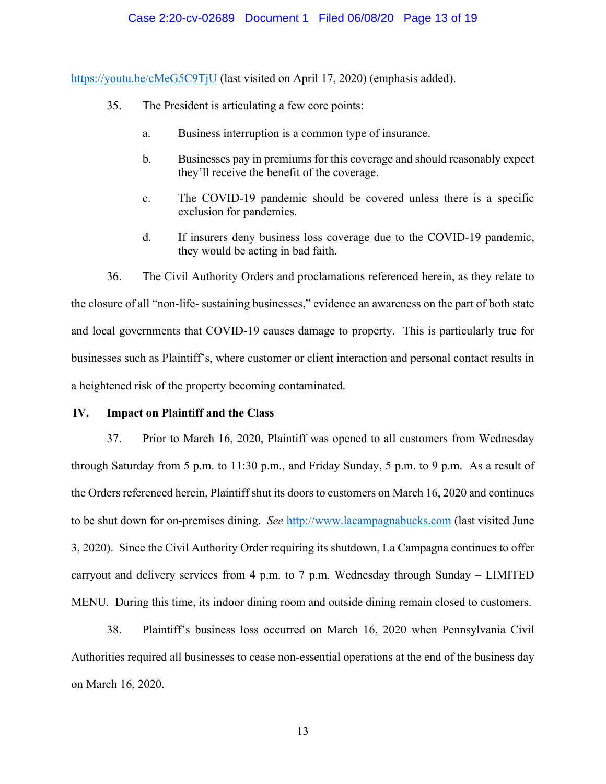#### Case 2:20-cv-02689 Document 1 Filed 06/08/20 Page 13 of 19

<https://youtu.be/cMeG5C9TjU> (last visited on April 17, 2020) (emphasis added).

- 35. The President is articulating a few core points:
	- a. Business interruption is a common type of insurance.
	- b. Businesses pay in premiums for this coverage and should reasonably expect they'll receive the benefit of the coverage.
	- c. The COVID-19 pandemic should be covered unless there is a specific exclusion for pandemics.
	- d. If insurers deny business loss coverage due to the COVID-19 pandemic, they would be acting in bad faith.

36. The Civil Authority Orders and proclamations referenced herein, as they relate to the closure of all "non-life- sustaining businesses," evidence an awareness on the part of both state and local governments that COVID-19 causes damage to property. This is particularly true for businesses such as Plaintiff's, where customer or client interaction and personal contact results in a heightened risk of the property becoming contaminated.

#### **IV. Impact on Plaintiff and the Class**

37. Prior to March 16, 2020, Plaintiff was opened to all customers from Wednesday through Saturday from 5 p.m. to 11:30 p.m., and Friday Sunday, 5 p.m. to 9 p.m. As a result of the Orders referenced herein, Plaintiff shut its doors to customers on March 16, 2020 and continues to be shut down for on-premises dining. *See* [http://www.lacampagnabucks.com](http://www.lacampagnabucks.com/) (last visited June 3, 2020). Since the Civil Authority Order requiring its shutdown, La Campagna continues to offer carryout and delivery services from 4 p.m. to 7 p.m. Wednesday through Sunday – LIMITED MENU. During this time, its indoor dining room and outside dining remain closed to customers.

38. Plaintiff's business loss occurred on March 16, 2020 when Pennsylvania Civil Authorities required all businesses to cease non-essential operations at the end of the business day on March 16, 2020.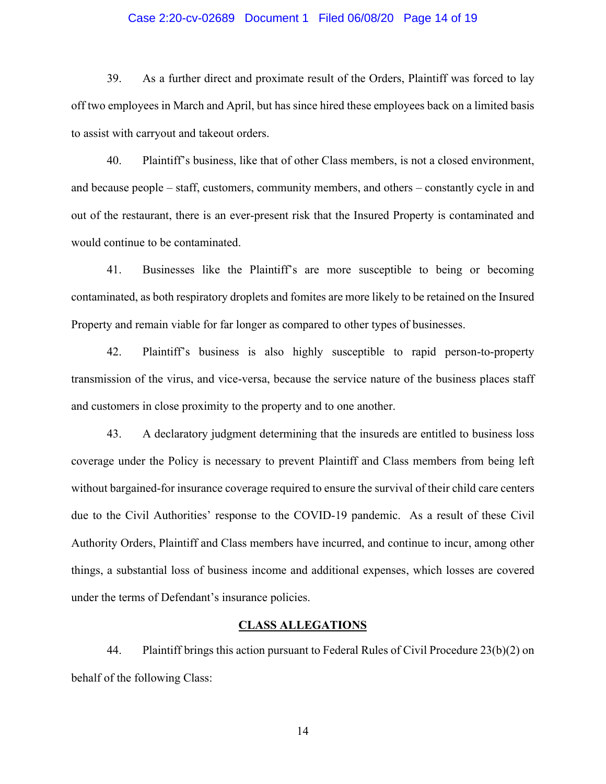#### Case 2:20-cv-02689 Document 1 Filed 06/08/20 Page 14 of 19

39. As a further direct and proximate result of the Orders, Plaintiff was forced to lay off two employees in March and April, but has since hired these employees back on a limited basis to assist with carryout and takeout orders.

40. Plaintiff's business, like that of other Class members, is not a closed environment, and because people – staff, customers, community members, and others – constantly cycle in and out of the restaurant, there is an ever-present risk that the Insured Property is contaminated and would continue to be contaminated.

41. Businesses like the Plaintiff's are more susceptible to being or becoming contaminated, as both respiratory droplets and fomites are more likely to be retained on the Insured Property and remain viable for far longer as compared to other types of businesses.

42. Plaintiff's business is also highly susceptible to rapid person-to-property transmission of the virus, and vice-versa, because the service nature of the business places staff and customers in close proximity to the property and to one another.

43. A declaratory judgment determining that the insureds are entitled to business loss coverage under the Policy is necessary to prevent Plaintiff and Class members from being left without bargained-for insurance coverage required to ensure the survival of their child care centers due to the Civil Authorities' response to the COVID-19 pandemic. As a result of these Civil Authority Orders, Plaintiff and Class members have incurred, and continue to incur, among other things, a substantial loss of business income and additional expenses, which losses are covered under the terms of Defendant's insurance policies.

#### **CLASS ALLEGATIONS**

44. Plaintiff brings this action pursuant to Federal Rules of Civil Procedure 23(b)(2) on behalf of the following Class: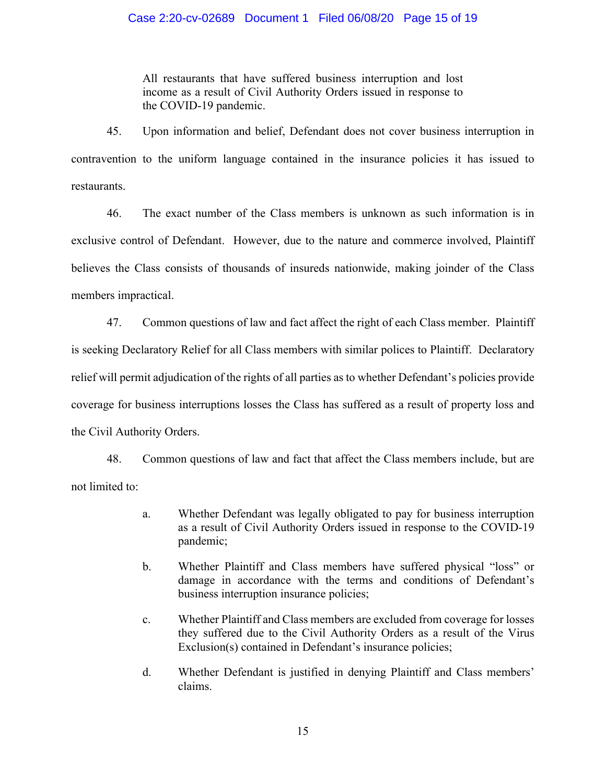#### Case 2:20-cv-02689 Document 1 Filed 06/08/20 Page 15 of 19

All restaurants that have suffered business interruption and lost income as a result of Civil Authority Orders issued in response to the COVID-19 pandemic.

45. Upon information and belief, Defendant does not cover business interruption in contravention to the uniform language contained in the insurance policies it has issued to restaurants.

46. The exact number of the Class members is unknown as such information is in exclusive control of Defendant. However, due to the nature and commerce involved, Plaintiff believes the Class consists of thousands of insureds nationwide, making joinder of the Class members impractical.

47. Common questions of law and fact affect the right of each Class member. Plaintiff is seeking Declaratory Relief for all Class members with similar polices to Plaintiff. Declaratory relief will permit adjudication of the rights of all parties as to whether Defendant's policies provide coverage for business interruptions losses the Class has suffered as a result of property loss and the Civil Authority Orders.

48. Common questions of law and fact that affect the Class members include, but are not limited to:

- a. Whether Defendant was legally obligated to pay for business interruption as a result of Civil Authority Orders issued in response to the COVID-19 pandemic;
- b. Whether Plaintiff and Class members have suffered physical "loss" or damage in accordance with the terms and conditions of Defendant's business interruption insurance policies;
- c. Whether Plaintiff and Class members are excluded from coverage for losses they suffered due to the Civil Authority Orders as a result of the Virus Exclusion(s) contained in Defendant's insurance policies;
- d. Whether Defendant is justified in denying Plaintiff and Class members' claims.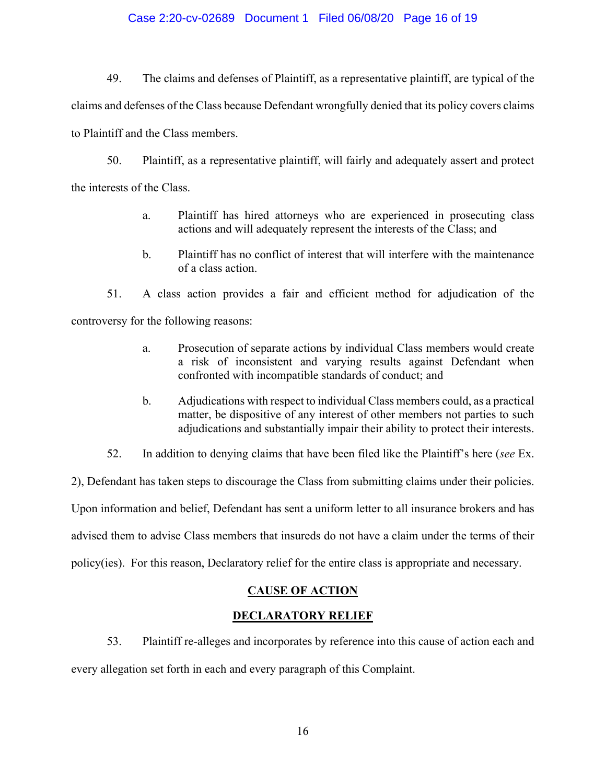### Case 2:20-cv-02689 Document 1 Filed 06/08/20 Page 16 of 19

49. The claims and defenses of Plaintiff, as a representative plaintiff, are typical of the claims and defenses of the Class because Defendant wrongfully denied that its policy covers claims to Plaintiff and the Class members.

50. Plaintiff, as a representative plaintiff, will fairly and adequately assert and protect the interests of the Class.

- a. Plaintiff has hired attorneys who are experienced in prosecuting class actions and will adequately represent the interests of the Class; and
- b. Plaintiff has no conflict of interest that will interfere with the maintenance of a class action.

51. A class action provides a fair and efficient method for adjudication of the controversy for the following reasons:

- a. Prosecution of separate actions by individual Class members would create a risk of inconsistent and varying results against Defendant when confronted with incompatible standards of conduct; and
- b. Adjudications with respect to individual Class members could, as a practical matter, be dispositive of any interest of other members not parties to such adjudications and substantially impair their ability to protect their interests.
- 52. In addition to denying claims that have been filed like the Plaintiff's here (*see* Ex.

2), Defendant has taken steps to discourage the Class from submitting claims under their policies. Upon information and belief, Defendant has sent a uniform letter to all insurance brokers and has advised them to advise Class members that insureds do not have a claim under the terms of their policy(ies). For this reason, Declaratory relief for the entire class is appropriate and necessary.

# **CAUSE OF ACTION**

# **DECLARATORY RELIEF**

53. Plaintiff re-alleges and incorporates by reference into this cause of action each and

every allegation set forth in each and every paragraph of this Complaint.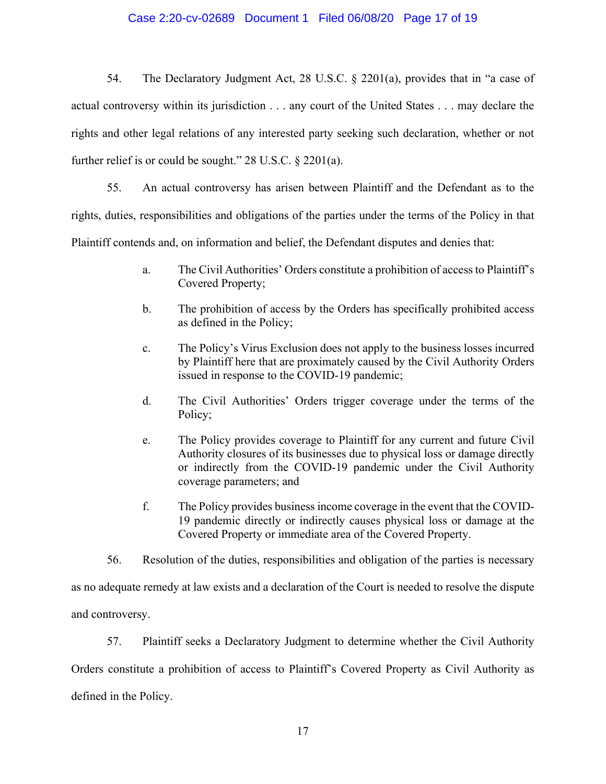#### Case 2:20-cv-02689 Document 1 Filed 06/08/20 Page 17 of 19

54. The Declaratory Judgment Act, 28 U.S.C. § 2201(a), provides that in "a case of actual controversy within its jurisdiction . . . any court of the United States . . . may declare the rights and other legal relations of any interested party seeking such declaration, whether or not further relief is or could be sought." 28 U.S.C. § 2201(a).

55. An actual controversy has arisen between Plaintiff and the Defendant as to the rights, duties, responsibilities and obligations of the parties under the terms of the Policy in that Plaintiff contends and, on information and belief, the Defendant disputes and denies that:

- a. The Civil Authorities' Orders constitute a prohibition of access to Plaintiff's Covered Property;
- b. The prohibition of access by the Orders has specifically prohibited access as defined in the Policy;
- c. The Policy's Virus Exclusion does not apply to the business losses incurred by Plaintiff here that are proximately caused by the Civil Authority Orders issued in response to the COVID-19 pandemic;
- d. The Civil Authorities' Orders trigger coverage under the terms of the Policy;
- e. The Policy provides coverage to Plaintiff for any current and future Civil Authority closures of its businesses due to physical loss or damage directly or indirectly from the COVID-19 pandemic under the Civil Authority coverage parameters; and
- f. The Policy provides business income coverage in the event that the COVID-19 pandemic directly or indirectly causes physical loss or damage at the Covered Property or immediate area of the Covered Property.
- 56. Resolution of the duties, responsibilities and obligation of the parties is necessary

as no adequate remedy at law exists and a declaration of the Court is needed to resolve the dispute and controversy.

57. Plaintiff seeks a Declaratory Judgment to determine whether the Civil Authority

Orders constitute a prohibition of access to Plaintiff's Covered Property as Civil Authority as defined in the Policy.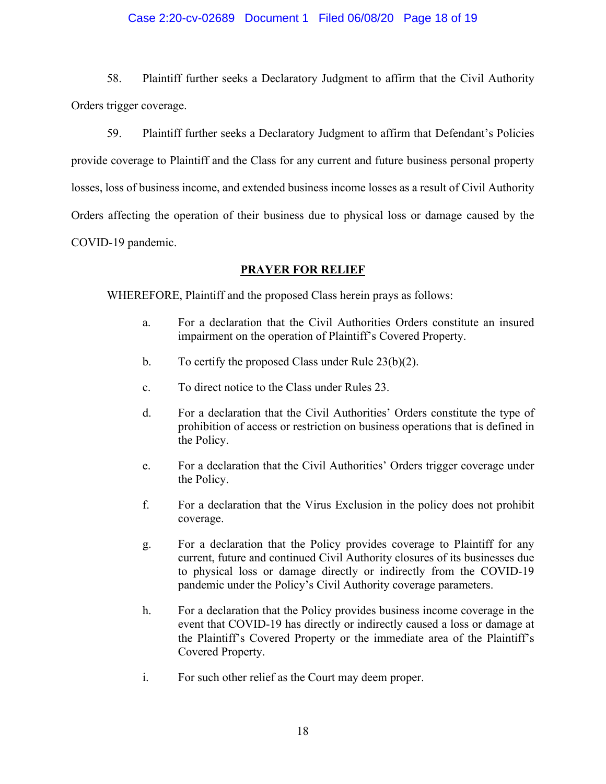### Case 2:20-cv-02689 Document 1 Filed 06/08/20 Page 18 of 19

58. Plaintiff further seeks a Declaratory Judgment to affirm that the Civil Authority Orders trigger coverage.

59. Plaintiff further seeks a Declaratory Judgment to affirm that Defendant's Policies provide coverage to Plaintiff and the Class for any current and future business personal property losses, loss of business income, and extended business income losses as a result of Civil Authority Orders affecting the operation of their business due to physical loss or damage caused by the COVID-19 pandemic.

# **PRAYER FOR RELIEF**

WHEREFORE, Plaintiff and the proposed Class herein prays as follows:

- a. For a declaration that the Civil Authorities Orders constitute an insured impairment on the operation of Plaintiff's Covered Property.
- b. To certify the proposed Class under Rule 23(b)(2).
- c. To direct notice to the Class under Rules 23.
- d. For a declaration that the Civil Authorities' Orders constitute the type of prohibition of access or restriction on business operations that is defined in the Policy.
- e. For a declaration that the Civil Authorities' Orders trigger coverage under the Policy.
- f. For a declaration that the Virus Exclusion in the policy does not prohibit coverage.
- g. For a declaration that the Policy provides coverage to Plaintiff for any current, future and continued Civil Authority closures of its businesses due to physical loss or damage directly or indirectly from the COVID-19 pandemic under the Policy's Civil Authority coverage parameters.
- h. For a declaration that the Policy provides business income coverage in the event that COVID-19 has directly or indirectly caused a loss or damage at the Plaintiff's Covered Property or the immediate area of the Plaintiff's Covered Property.
- i. For such other relief as the Court may deem proper.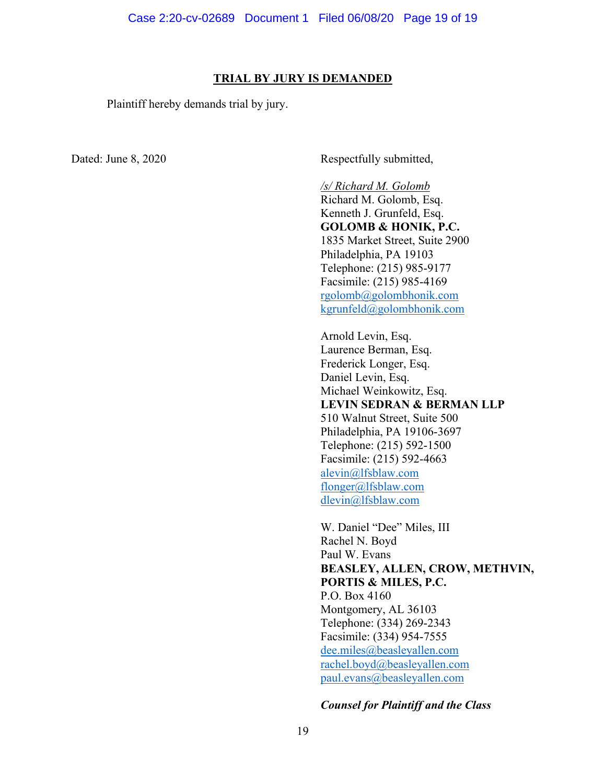#### **TRIAL BY JURY IS DEMANDED**

Plaintiff hereby demands trial by jury.

Dated: June 8, 2020 Respectfully submitted,

*/s/ Richard M. Golomb* Richard M. Golomb, Esq. Kenneth J. Grunfeld, Esq. **GOLOMB & HONIK, P.C.** 1835 Market Street, Suite 2900 Philadelphia, PA 19103 Telephone: (215) 985-9177 Facsimile: (215) 985-4169 [rgolomb@golombhonik.com](mailto:rgolomb@golombhonik.com) [kgrunfeld@golombhonik.com](mailto:kgrunfeld@golombhonik.com)

Arnold Levin, Esq. Laurence Berman, Esq. Frederick Longer, Esq. Daniel Levin, Esq. Michael Weinkowitz, Esq. **LEVIN SEDRAN & BERMAN LLP** 510 Walnut Street, Suite 500 Philadelphia, PA 19106-3697 Telephone: (215) 592-1500 Facsimile: (215) 592-4663 [alevin@lfsblaw.com](mailto:alevin@lfsblaw.com) [flonger@lfsblaw.com](mailto:flonger@lfsblaw.com) [dlevin@lfsblaw.com](mailto:dlevin@lfsblaw.com)

W. Daniel "Dee" Miles, III Rachel N. Boyd Paul W. Evans **BEASLEY, ALLEN, CROW, METHVIN, PORTIS & MILES, P.C.**  P.O. Box 4160 Montgomery, AL 36103 Telephone: (334) 269-2343 Facsimile: (334) 954-7555 [dee.miles@beasleyallen.com](mailto:dee.miles@beasleyallen.com) [rachel.boyd@beasleyallen.com](mailto:rachel.boyd@beasleyallen.com) [paul.evans@beasleyallen.com](mailto:paul.evans@beasleyallen.com)

### *Counsel for Plaintiff and the Class*